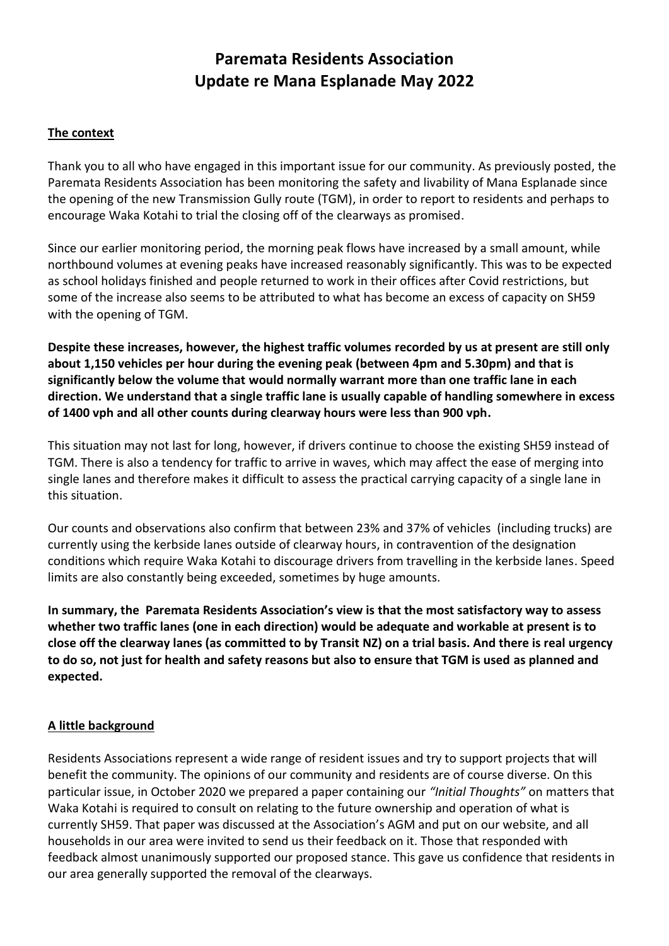# **Paremata Residents Association Update re Mana Esplanade May 2022**

#### **The context**

Thank you to all who have engaged in this important issue for our community. As previously posted, the Paremata Residents Association has been monitoring the safety and livability of Mana Esplanade since the opening of the new Transmission Gully route (TGM), in order to report to residents and perhaps to encourage Waka Kotahi to trial the closing off of the clearways as promised.

Since our earlier monitoring period, the morning peak flows have increased by a small amount, while northbound volumes at evening peaks have increased reasonably significantly. This was to be expected as school holidays finished and people returned to work in their offices after Covid restrictions, but some of the increase also seems to be attributed to what has become an excess of capacity on SH59 with the opening of TGM.

**Despite these increases, however, the highest traffic volumes recorded by us at present are still only about 1,150 vehicles per hour during the evening peak (between 4pm and 5.30pm) and that is significantly below the volume that would normally warrant more than one traffic lane in each direction. We understand that a single traffic lane is usually capable of handling somewhere in excess of 1400 vph and all other counts during clearway hours were less than 900 vph.**

This situation may not last for long, however, if drivers continue to choose the existing SH59 instead of TGM. There is also a tendency for traffic to arrive in waves, which may affect the ease of merging into single lanes and therefore makes it difficult to assess the practical carrying capacity of a single lane in this situation.

Our counts and observations also confirm that between 23% and 37% of vehicles (including trucks) are currently using the kerbside lanes outside of clearway hours, in contravention of the designation conditions which require Waka Kotahi to discourage drivers from travelling in the kerbside lanes. Speed limits are also constantly being exceeded, sometimes by huge amounts.

**In summary, the Paremata Residents Association's view is that the most satisfactory way to assess whether two traffic lanes (one in each direction) would be adequate and workable at present is to close off the clearway lanes (as committed to by Transit NZ) on a trial basis. And there is real urgency to do so, not just for health and safety reasons but also to ensure that TGM is used as planned and expected.**

### **A little background**

Residents Associations represent a wide range of resident issues and try to support projects that will benefit the community. The opinions of our community and residents are of course diverse. On this particular issue, in October 2020 we prepared a paper containing our *"Initial Thoughts"* on matters that Waka Kotahi is required to consult on relating to the future ownership and operation of what is currently SH59. That paper was discussed at the Association's AGM and put on our website, and all households in our area were invited to send us their feedback on it. Those that responded with feedback almost unanimously supported our proposed stance. This gave us confidence that residents in our area generally supported the removal of the clearways.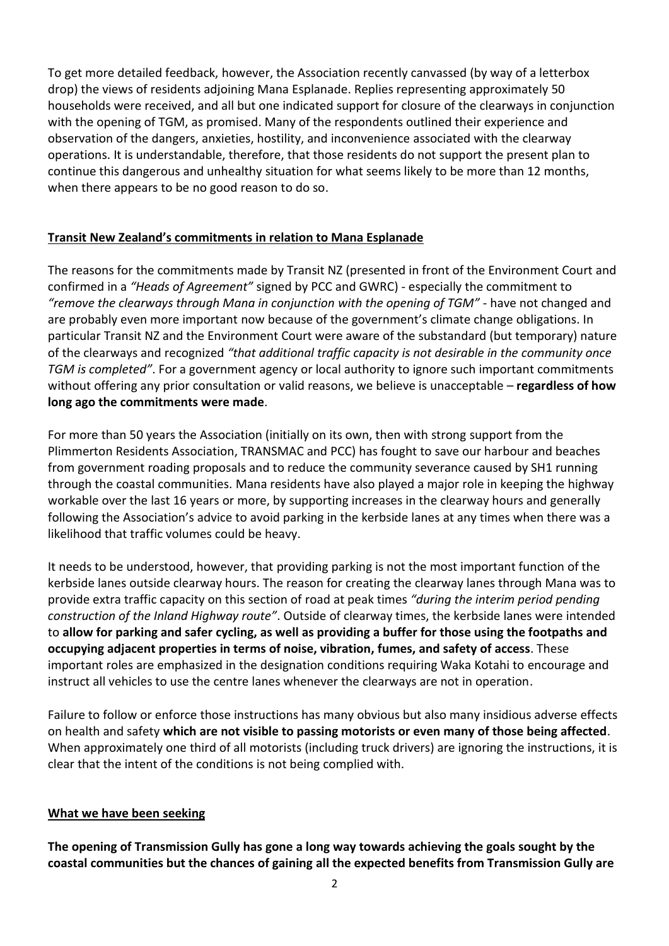To get more detailed feedback, however, the Association recently canvassed (by way of a letterbox drop) the views of residents adjoining Mana Esplanade. Replies representing approximately 50 households were received, and all but one indicated support for closure of the clearways in conjunction with the opening of TGM, as promised. Many of the respondents outlined their experience and observation of the dangers, anxieties, hostility, and inconvenience associated with the clearway operations. It is understandable, therefore, that those residents do not support the present plan to continue this dangerous and unhealthy situation for what seems likely to be more than 12 months, when there appears to be no good reason to do so.

## **Transit New Zealand's commitments in relation to Mana Esplanade**

The reasons for the commitments made by Transit NZ (presented in front of the Environment Court and confirmed in a *"Heads of Agreement"* signed by PCC and GWRC) - especially the commitment to *"remove the clearways through Mana in conjunction with the opening of TGM"* - have not changed and are probably even more important now because of the government's climate change obligations. In particular Transit NZ and the Environment Court were aware of the substandard (but temporary) nature of the clearways and recognized *"that additional traffic capacity is not desirable in the community once TGM is completed"*. For a government agency or local authority to ignore such important commitments without offering any prior consultation or valid reasons, we believe is unacceptable – **regardless of how long ago the commitments were made**.

For more than 50 years the Association (initially on its own, then with strong support from the Plimmerton Residents Association, TRANSMAC and PCC) has fought to save our harbour and beaches from government roading proposals and to reduce the community severance caused by SH1 running through the coastal communities. Mana residents have also played a major role in keeping the highway workable over the last 16 years or more, by supporting increases in the clearway hours and generally following the Association's advice to avoid parking in the kerbside lanes at any times when there was a likelihood that traffic volumes could be heavy.

It needs to be understood, however, that providing parking is not the most important function of the kerbside lanes outside clearway hours. The reason for creating the clearway lanes through Mana was to provide extra traffic capacity on this section of road at peak times *"during the interim period pending construction of the Inland Highway route"*. Outside of clearway times, the kerbside lanes were intended to **allow for parking and safer cycling, as well as providing a buffer for those using the footpaths and occupying adjacent properties in terms of noise, vibration, fumes, and safety of access**. These important roles are emphasized in the designation conditions requiring Waka Kotahi to encourage and instruct all vehicles to use the centre lanes whenever the clearways are not in operation.

Failure to follow or enforce those instructions has many obvious but also many insidious adverse effects on health and safety **which are not visible to passing motorists or even many of those being affected**. When approximately one third of all motorists (including truck drivers) are ignoring the instructions, it is clear that the intent of the conditions is not being complied with.

### **What we have been seeking**

**The opening of Transmission Gully has gone a long way towards achieving the goals sought by the coastal communities but the chances of gaining all the expected benefits from Transmission Gully are**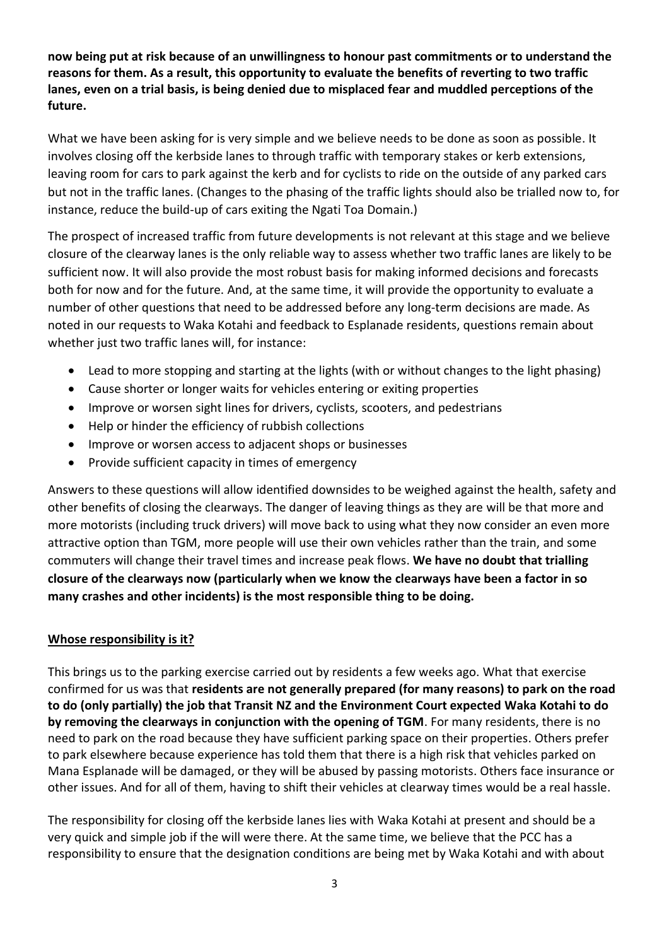**now being put at risk because of an unwillingness to honour past commitments or to understand the reasons for them. As a result, this opportunity to evaluate the benefits of reverting to two traffic lanes, even on a trial basis, is being denied due to misplaced fear and muddled perceptions of the future.**

What we have been asking for is very simple and we believe needs to be done as soon as possible. It involves closing off the kerbside lanes to through traffic with temporary stakes or kerb extensions, leaving room for cars to park against the kerb and for cyclists to ride on the outside of any parked cars but not in the traffic lanes. (Changes to the phasing of the traffic lights should also be trialled now to, for instance, reduce the build-up of cars exiting the Ngati Toa Domain.)

The prospect of increased traffic from future developments is not relevant at this stage and we believe closure of the clearway lanes is the only reliable way to assess whether two traffic lanes are likely to be sufficient now. It will also provide the most robust basis for making informed decisions and forecasts both for now and for the future. And, at the same time, it will provide the opportunity to evaluate a number of other questions that need to be addressed before any long-term decisions are made. As noted in our requests to Waka Kotahi and feedback to Esplanade residents, questions remain about whether just two traffic lanes will, for instance:

- Lead to more stopping and starting at the lights (with or without changes to the light phasing)
- Cause shorter or longer waits for vehicles entering or exiting properties
- Improve or worsen sight lines for drivers, cyclists, scooters, and pedestrians
- Help or hinder the efficiency of rubbish collections
- Improve or worsen access to adjacent shops or businesses
- Provide sufficient capacity in times of emergency

Answers to these questions will allow identified downsides to be weighed against the health, safety and other benefits of closing the clearways. The danger of leaving things as they are will be that more and more motorists (including truck drivers) will move back to using what they now consider an even more attractive option than TGM, more people will use their own vehicles rather than the train, and some commuters will change their travel times and increase peak flows. **We have no doubt that trialling closure of the clearways now (particularly when we know the clearways have been a factor in so many crashes and other incidents) is the most responsible thing to be doing.**

### **Whose responsibility is it?**

This brings us to the parking exercise carried out by residents a few weeks ago. What that exercise confirmed for us was that **residents are not generally prepared (for many reasons) to park on the road to do (only partially) the job that Transit NZ and the Environment Court expected Waka Kotahi to do by removing the clearways in conjunction with the opening of TGM**. For many residents, there is no need to park on the road because they have sufficient parking space on their properties. Others prefer to park elsewhere because experience has told them that there is a high risk that vehicles parked on Mana Esplanade will be damaged, or they will be abused by passing motorists. Others face insurance or other issues. And for all of them, having to shift their vehicles at clearway times would be a real hassle.

The responsibility for closing off the kerbside lanes lies with Waka Kotahi at present and should be a very quick and simple job if the will were there. At the same time, we believe that the PCC has a responsibility to ensure that the designation conditions are being met by Waka Kotahi and with about